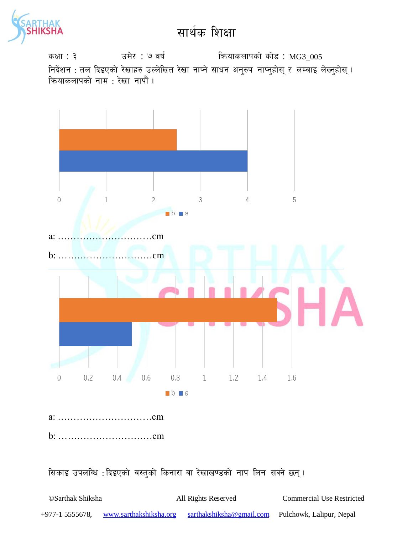

sIff : # pd]/ : & jif{ lqmofsnfksf] sf]8 : MG3\_005 निर्देशन : तल दिइएको रेखाहरु उल्लेखित रेखा नाप्ने साधन अनुरुप नाप्नुहोस् र लम्बाइ लेख्नुहोस् । कियाकलापको नाम : रेखा नापौं ।



सिकाइ उपलब्धि : दिइएको वस्तुको किनारा वा रेखाखण्डको नाप लिन सक्ने छन्।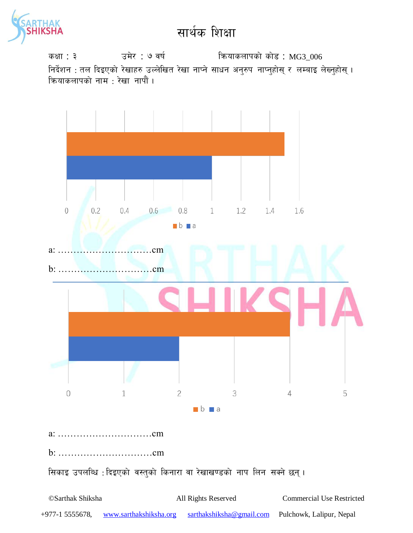

sIff : # pd]/ : & jif{ lqmofsnfksf] sf]8 : MG3\_006 निर्देशन : तल दिइएको रेखाहरु उल्लेखित रेखा नाप्ने साधन अनुरुप नाप्नुहोस् र लम्बाइ लेख्नुहोस् । कियाकलापको नाम : रेखा नापौं ।

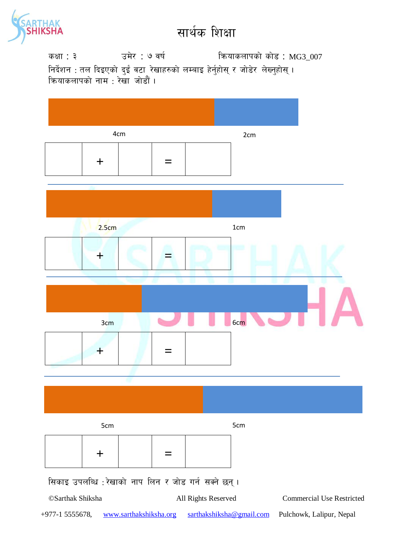

कक्षा : ३ वर्ष : ७ वर्ष : कथाकलापको कोड : MG3\_007 निर्देशन : तल दिइएको दुईं वटा रेखाहरुको लम्बाइ हेर्नुहोस् र जोडेर लेख्नुहोस् । क्रियाकलापको नाम : रेखा जोडौं <mark>।</mark>

| 4cm              |          |                        |  |                                                      | 2cm |                                  |
|------------------|----------|------------------------|--|------------------------------------------------------|-----|----------------------------------|
|                  | $\pm$    |                        |  |                                                      |     |                                  |
|                  |          |                        |  |                                                      |     |                                  |
| 2.5cm            |          |                        |  |                                                      | 1cm |                                  |
|                  | $\bm{+}$ |                        |  |                                                      |     |                                  |
|                  |          |                        |  |                                                      |     |                                  |
|                  | 3cm      |                        |  |                                                      | 6cm |                                  |
|                  | ┱        |                        |  |                                                      |     |                                  |
|                  |          |                        |  |                                                      |     |                                  |
|                  |          |                        |  |                                                      |     |                                  |
| 5cm              |          |                        |  | 5cm                                                  |     |                                  |
|                  | $\bm{+}$ |                        |  |                                                      |     |                                  |
|                  |          |                        |  | सिकाइ उपलब्धि : रेखाको नाप लिन र जोड गर्न सक्ने छन्। |     |                                  |
| ©Sarthak Shiksha |          |                        |  | All Rights Reserved                                  |     | <b>Commercial Use Restricted</b> |
| +977-1 5555678,  |          | www.sarthakshiksha.org |  | sarthakshiksha@gmail.com                             |     | Pulchowk, Lalipur, Nepal         |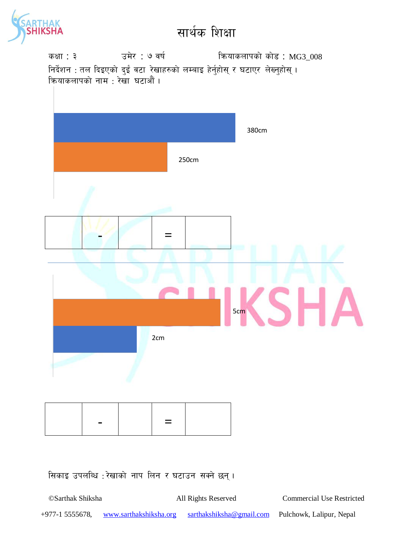

कक्षा : ३ उमेर : ७ वर्ष कियाकलापको कोड : MG3\_008 निर्देशन : तल दिइएको दुईं वटा रेखाहरुको लम्बाइ हेर्नुहोस् र घटाएर लेख्नुहोस् । कियाकलापको नाम : रेखा घटाऔं <mark>।</mark>



सिकाइ उपलब्धि : रेखाको नाप लिन र घटाउन सक्ने छन्।

©Sarthak Shiksha All Rights Reserved Commercial Use Restricted +977-1 5555678, www.sarthakshiksha.org sarthakshiksha@gmail.com Pulchowk, Lalipur, Nepal